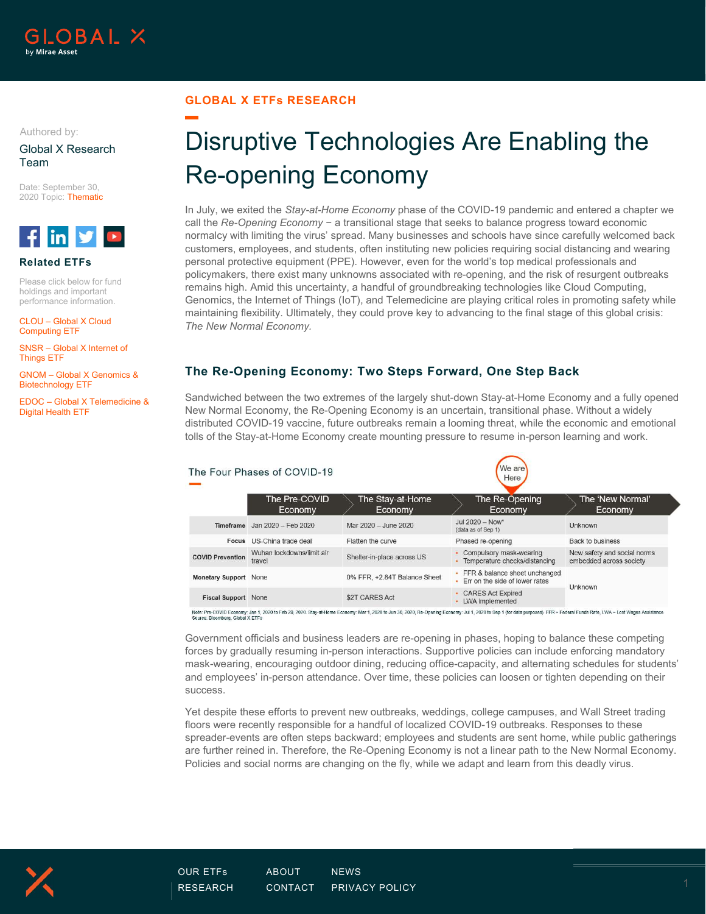

## GLOBAL X ETFs RESEARCH

Authored by:

Global X Research Team

Date: September 30, 2020 Topic: Thematic



## Related ETFs

Please click below for fund holdings and important performance information.

CLOU – Global X Cloud Computing ETF

SNSR – Global X Internet of Things ETF

GNOM – Global X Genomics & Biotechnology ETF

EDOC – Global X Telemedicine & Digital Health ETF

# Disruptive Technologies Are Enabling the Re-opening Economy

In July, we exited the Stay-at-Home Economy phase of the COVID-19 pandemic and entered a chapter we call the Re-Opening Economy – a transitional stage that seeks to balance progress toward economic normalcy with limiting the virus' spread. Many businesses and schools have since carefully welcomed back customers, employees, and students, often instituting new policies requiring social distancing and wearing personal protective equipment (PPE). However, even for the world's top medical professionals and policymakers, there exist many unknowns associated with re-opening, and the risk of resurgent outbreaks remains high. Amid this uncertainty, a handful of groundbreaking technologies like Cloud Computing, Genomics, the Internet of Things (IoT), and Telemedicine are playing critical roles in promoting safety while maintaining flexibility. Ultimately, they could prove key to advancing to the final stage of this global crisis: The New Normal Economy.

# The Re-Opening Economy: Two Steps Forward, One Step Back

Sandwiched between the two extremes of the largely shut-down Stay-at-Home Economy and a fully opened New Normal Economy, the Re-Opening Economy is an uncertain, transitional phase. Without a widely distributed COVID-19 vaccine, future outbreaks remain a looming threat, while the economic and emotional tolls of the Stay-at-Home Economy create mounting pressure to resume in-person learning and work.

# The Four Phases of COVID-19



|                         | The Pre-COVID<br>Economy            | The Stay-at-Home<br>Economy  | The Re-Opening<br>Economy                                           | The 'New Normal'<br>Economy                            |  |
|-------------------------|-------------------------------------|------------------------------|---------------------------------------------------------------------|--------------------------------------------------------|--|
|                         | Timeframe Jan 2020 - Feb 2020       | Mar 2020 - June 2020         | Jul $2020 - Now*$<br>(data as of Sep 1)                             | Unknown                                                |  |
|                         | Focus US-China trade deal           | Flatten the curve            | Phased re-opening                                                   | Back to business                                       |  |
| <b>COVID Prevention</b> | Wuhan lockdowns/limit air<br>travel | Shelter-in-place across US   | Compulsory mask-wearing<br>Temperature checks/distancing            | New safety and social norms<br>embedded across society |  |
| Monetary Support None   |                                     | 0% FFR, +2.84T Balance Sheet | • FFR & balance sheet unchanged<br>• Err on the side of lower rates | Unknown                                                |  |
| Fiscal Support None     |                                     | \$2T CARES Act               | <b>CARES Act Expired</b><br>LWA implemented                         |                                                        |  |

Nole. Pre-COVID Economy: Jan 1, 2020 to Feb 29, 2020. Stay-at-Home Economy: Mar 1, 2020 to Jun 30, 2020, Re-Opening Economy: Jul 1, 2020 to Sep 1 (for data purposes). FFR = Federal Funds Rate, LWA = Lost Wages Assistance

Government officials and business leaders are re-opening in phases, hoping to balance these competing forces by gradually resuming in-person interactions. Supportive policies can include enforcing mandatory mask-wearing, encouraging outdoor dining, reducing office-capacity, and alternating schedules for students' and employees' in-person attendance. Over time, these policies can loosen or tighten depending on their success.

Yet despite these efforts to prevent new outbreaks, weddings, college campuses, and Wall Street trading floors were recently responsible for a handful of localized COVID-19 outbreaks. Responses to these spreader-events are often steps backward; employees and students are sent home, while public gatherings are further reined in. Therefore, the Re-Opening Economy is not a linear path to the New Normal Economy. Policies and social norms are changing on the fly, while we adapt and learn from this deadly virus.

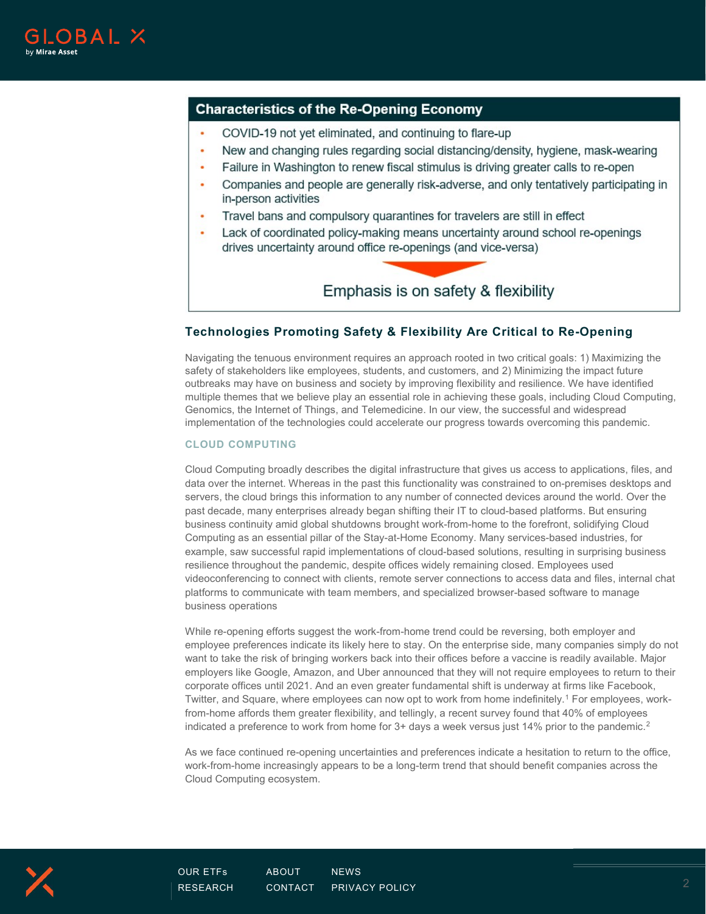

# **Characteristics of the Re-Opening Economy**

- ¥ COVID-19 not yet eliminated, and continuing to flare-up
- ÷ New and changing rules regarding social distancing/density, hygiene, mask-wearing
- Failure in Washington to renew fiscal stimulus is driving greater calls to re-open  $\ddot{\phantom{0}}$
- Companies and people are generally risk-adverse, and only tentatively participating in ٠ in-person activities
- Travel bans and compulsory quarantines for travelers are still in effect ÷
- Lack of coordinated policy-making means uncertainty around school re-openings drives uncertainty around office re-openings (and vice-versa)

## Emphasis is on safety & flexibility

### Technologies Promoting Safety & Flexibility Are Critical to Re-Opening

Navigating the tenuous environment requires an approach rooted in two critical goals: 1) Maximizing the safety of stakeholders like employees, students, and customers, and 2) Minimizing the impact future outbreaks may have on business and society by improving flexibility and resilience. We have identified multiple themes that we believe play an essential role in achieving these goals, including Cloud Computing, Genomics, the Internet of Things, and Telemedicine. In our view, the successful and widespread implementation of the technologies could accelerate our progress towards overcoming this pandemic.

#### CLOUD COMPUTING

Cloud Computing broadly describes the digital infrastructure that gives us access to applications, files, and data over the internet. Whereas in the past this functionality was constrained to on-premises desktops and servers, the cloud brings this information to any number of connected devices around the world. Over the past decade, many enterprises already began shifting their IT to cloud-based platforms. But ensuring business continuity amid global shutdowns brought work-from-home to the forefront, solidifying Cloud Computing as an essential pillar of the Stay-at-Home Economy. Many services-based industries, for example, saw successful rapid implementations of cloud-based solutions, resulting in surprising business resilience throughout the pandemic, despite offices widely remaining closed. Employees used videoconferencing to connect with clients, remote server connections to access data and files, internal chat platforms to communicate with team members, and specialized browser-based software to manage business operations

While re-opening efforts suggest the work-from-home trend could be reversing, both employer and employee preferences indicate its likely here to stay. On the enterprise side, many companies simply do not want to take the risk of bringing workers back into their offices before a vaccine is readily available. Major employers like Google, Amazon, and Uber announced that they will not require employees to return to their corporate offices until 2021. And an even greater fundamental shift is underway at firms like Facebook, Twitter, and Square, where employees can now opt to work from home indefinitely.<sup>1</sup> For employees, workfrom-home affords them greater flexibility, and tellingly, a recent survey found that 40% of employees indicated a preference to work from home for 3+ days a week versus just 14% prior to the pandemic.<sup>2</sup>

As we face continued re-opening uncertainties and preferences indicate a hesitation to return to the office, work-from-home increasingly appears to be a long-term trend that should benefit companies across the Cloud Computing ecosystem.

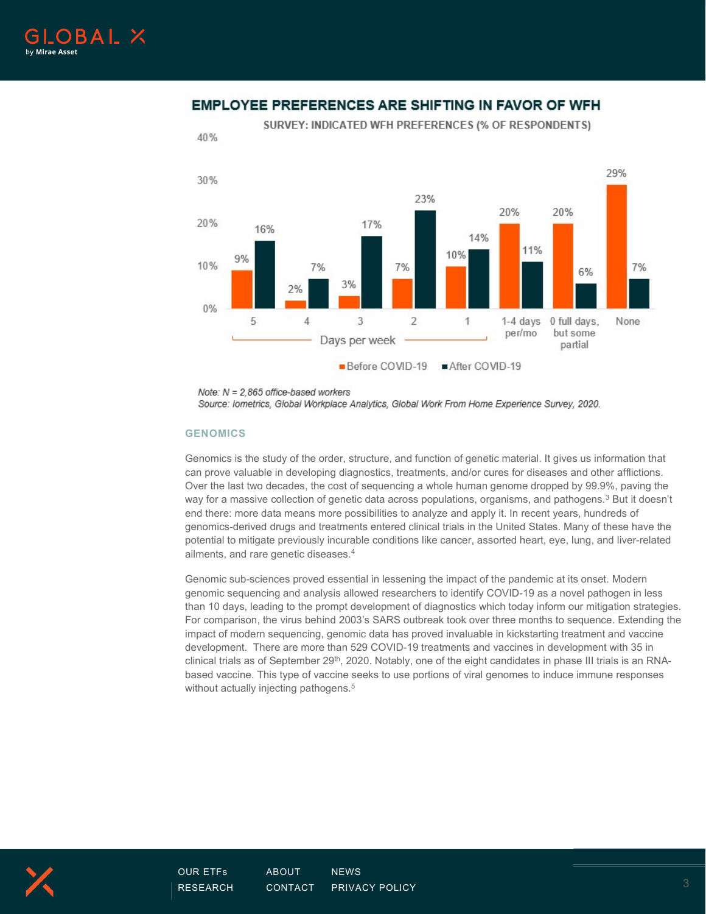

# **EMPLOYEE PREFERENCES ARE SHIFTING IN FAVOR OF WFH**

SURVEY: INDICATED WFH PREFERENCES (% OF RESPONDENTS)



Note:  $N = 2,865$  office-based workers

Source: Iometrics, Global Workplace Analytics, Global Work From Home Experience Survey, 2020.

#### **GENOMICS**

Genomics is the study of the order, structure, and function of genetic material. It gives us information that can prove valuable in developing diagnostics, treatments, and/or cures for diseases and other afflictions. Over the last two decades, the cost of sequencing a whole human genome dropped by 99.9%, paving the way for a massive collection of genetic data across populations, organisms, and pathogens.<sup>3</sup> But it doesn't end there: more data means more possibilities to analyze and apply it. In recent years, hundreds of genomics-derived drugs and treatments entered clinical trials in the United States. Many of these have the potential to mitigate previously incurable conditions like cancer, assorted heart, eye, lung, and liver-related ailments, and rare genetic diseases.<sup>4</sup>

Genomic sub-sciences proved essential in lessening the impact of the pandemic at its onset. Modern genomic sequencing and analysis allowed researchers to identify COVID-19 as a novel pathogen in less than 10 days, leading to the prompt development of diagnostics which today inform our mitigation strategies. For comparison, the virus behind 2003's SARS outbreak took over three months to sequence. Extending the impact of modern sequencing, genomic data has proved invaluable in kickstarting treatment and vaccine development. There are more than 529 COVID-19 treatments and vaccines in development with 35 in clinical trials as of September  $29^{th}$ , 2020. Notably, one of the eight candidates in phase III trials is an RNAbased vaccine. This type of vaccine seeks to use portions of viral genomes to induce immune responses without actually injecting pathogens.<sup>5</sup>

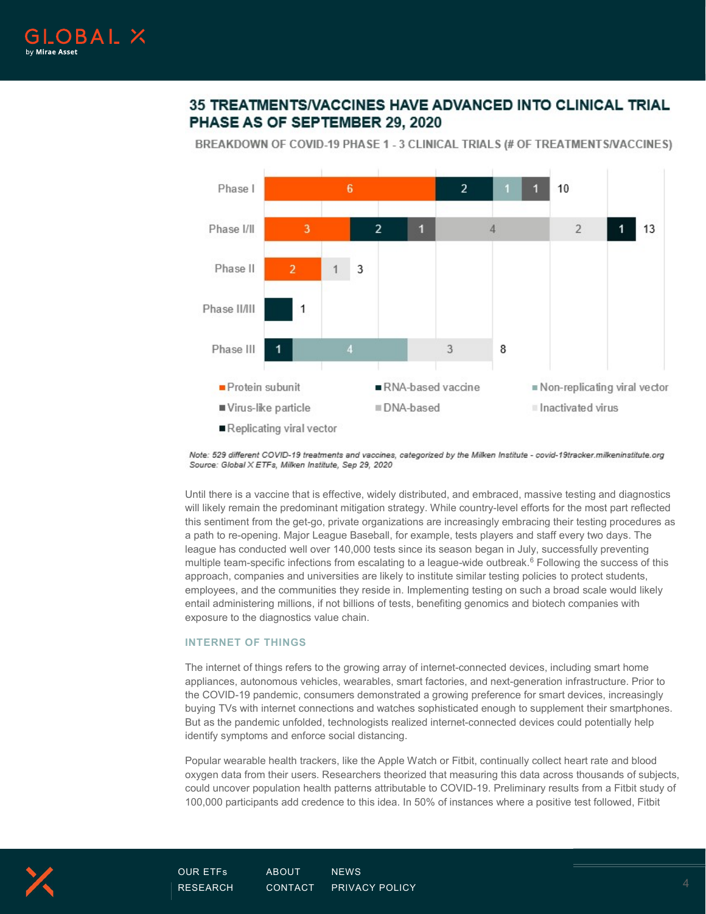

# **35 TREATMENTS/VACCINES HAVE ADVANCED INTO CLINICAL TRIAL** PHASE AS OF SEPTEMBER 29, 2020



BREAKDOWN OF COVID-19 PHASE 1 - 3 CLINICAL TRIALS (# OF TREATMENTS/VACCINES)

Note: 529 different COVID-19 treatments and vaccines, categorized by the Milken Institute - covid-19tracker.milkeninstitute.org Source: Global X ETFs, Milken Institute, Sep 29, 2020

Until there is a vaccine that is effective, widely distributed, and embraced, massive testing and diagnostics will likely remain the predominant mitigation strategy. While country-level efforts for the most part reflected this sentiment from the get-go, private organizations are increasingly embracing their testing procedures as a path to re-opening. Major League Baseball, for example, tests players and staff every two days. The league has conducted well over 140,000 tests since its season began in July, successfully preventing multiple team-specific infections from escalating to a league-wide outbreak.<sup>6</sup> Following the success of this approach, companies and universities are likely to institute similar testing policies to protect students, employees, and the communities they reside in. Implementing testing on such a broad scale would likely entail administering millions, if not billions of tests, benefiting genomics and biotech companies with exposure to the diagnostics value chain.

#### INTERNET OF THINGS

The internet of things refers to the growing array of internet-connected devices, including smart home appliances, autonomous vehicles, wearables, smart factories, and next-generation infrastructure. Prior to the COVID-19 pandemic, consumers demonstrated a growing preference for smart devices, increasingly buying TVs with internet connections and watches sophisticated enough to supplement their smartphones. But as the pandemic unfolded, technologists realized internet-connected devices could potentially help identify symptoms and enforce social distancing.

Popular wearable health trackers, like the Apple Watch or Fitbit, continually collect heart rate and blood oxygen data from their users. Researchers theorized that measuring this data across thousands of subjects, could uncover population health patterns attributable to COVID-19. Preliminary results from a Fitbit study of 100,000 participants add credence to this idea. In 50% of instances where a positive test followed, Fitbit

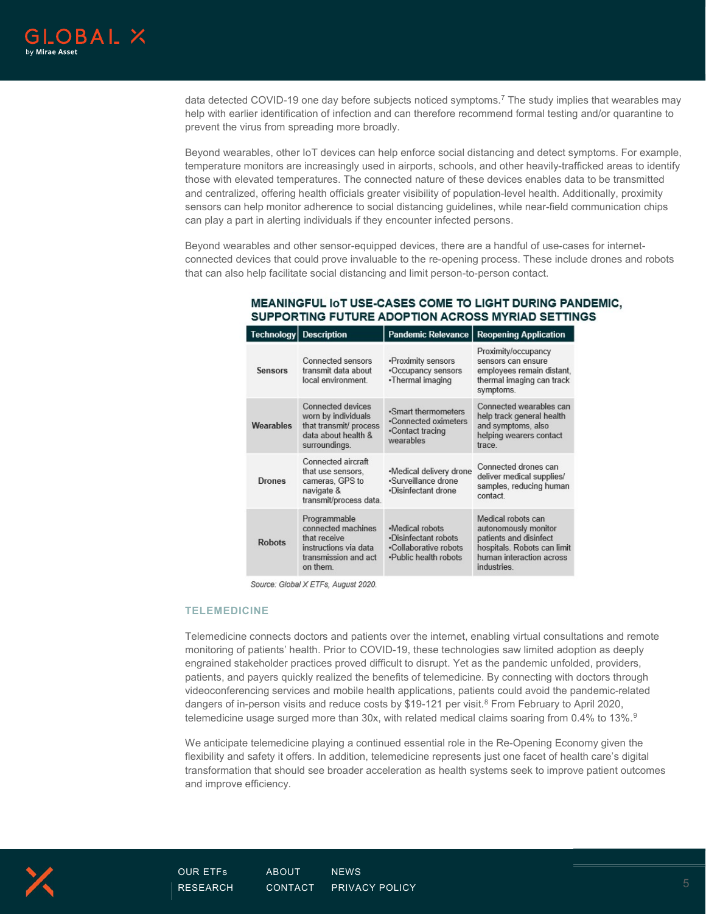

data detected COVID-19 one day before subjects noticed symptoms.<sup>7</sup> The study implies that wearables may help with earlier identification of infection and can therefore recommend formal testing and/or quarantine to prevent the virus from spreading more broadly.

Beyond wearables, other IoT devices can help enforce social distancing and detect symptoms. For example, temperature monitors are increasingly used in airports, schools, and other heavily-trafficked areas to identify those with elevated temperatures. The connected nature of these devices enables data to be transmitted and centralized, offering health officials greater visibility of population-level health. Additionally, proximity sensors can help monitor adherence to social distancing guidelines, while near-field communication chips can play a part in alerting individuals if they encounter infected persons.

Beyond wearables and other sensor-equipped devices, there are a handful of use-cases for internetconnected devices that could prove invaluable to the re-opening process. These include drones and robots that can also help facilitate social distancing and limit person-to-person contact.

|                | Technology Description                                                                                          | <b>Pandemic Relevance</b>                                                                  | <b>Reopening Application</b>                                                                                                                   |
|----------------|-----------------------------------------------------------------------------------------------------------------|--------------------------------------------------------------------------------------------|------------------------------------------------------------------------------------------------------------------------------------------------|
| <b>Sensors</b> | Connected sensors<br>transmit data about<br>local environment.                                                  | •Proximity sensors<br>•Occupancy sensors<br>•Thermal imaging                               | Proximity/occupancy<br>sensors can ensure<br>employees remain distant.<br>thermal imaging can track<br>symptoms.                               |
| Wearables      | Connected devices<br>worn by individuals<br>that transmit/ process<br>data about health &<br>surroundings.      | •Smart thermometers<br>•Connected oximeters<br>•Contact tracing<br>wearables               | Connected wearables can<br>help track general health<br>and symptoms, also<br>helping wearers contact<br>trace                                 |
| <b>Drones</b>  | Connected aircraft<br>that use sensors,<br>cameras, GPS to<br>navigate &<br>transmit/process data.              | •Medical delivery drone<br>•Surveillance drone<br>•Disinfectant drone                      | Connected drones can<br>deliver medical supplies/<br>samples, reducing human<br>contact.                                                       |
| <b>Robots</b>  | Programmable<br>connected machines<br>that receive<br>instructions via data<br>transmission and act<br>on them. | -Medical robots<br>•Disinfectant robots<br>•Collaborative robots<br>. Public health robots | Medical robots can<br>autonomously monitor<br>patients and disinfect<br>hospitals. Robots can limit<br>human interaction across<br>industries. |

## MEANINGFUL IOT USE-CASES COME TO LIGHT DURING PANDEMIC, SUPPORTING FUTURE ADOPTION ACROSS MYRIAD SETTINGS

Source: Global X ETFs, August 2020.

#### TELEMEDICINE

Telemedicine connects doctors and patients over the internet, enabling virtual consultations and remote monitoring of patients' health. Prior to COVID-19, these technologies saw limited adoption as deeply engrained stakeholder practices proved difficult to disrupt. Yet as the pandemic unfolded, providers, patients, and payers quickly realized the benefits of telemedicine. By connecting with doctors through videoconferencing services and mobile health applications, patients could avoid the pandemic-related dangers of in-person visits and reduce costs by \$19-121 per visit.<sup>8</sup> From February to April 2020, telemedicine usage surged more than 30x, with related medical claims soaring from 0.4% to 13%.<sup>9</sup>

We anticipate telemedicine playing a continued essential role in the Re-Opening Economy given the flexibility and safety it offers. In addition, telemedicine represents just one facet of health care's digital transformation that should see broader acceleration as health systems seek to improve patient outcomes and improve efficiency.

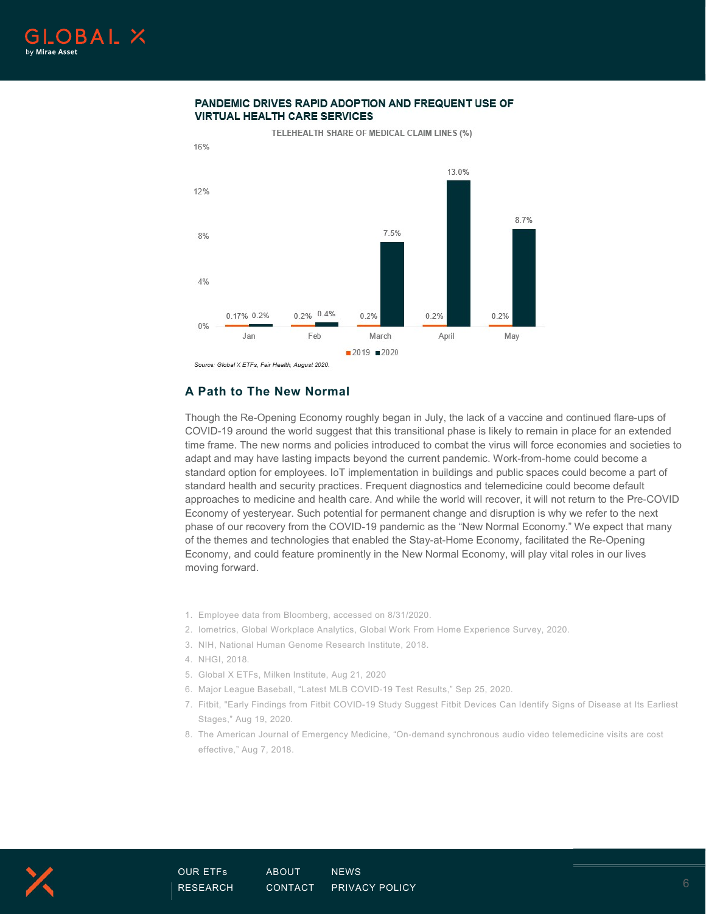

#### PANDEMIC DRIVES RAPID ADOPTION AND FREQUENT USE OF **VIRTUAL HEALTH CARE SERVICES**



Source: Global X ETFs. Fair Health. August 2020.

## A Path to The New Normal

Though the Re-Opening Economy roughly began in July, the lack of a vaccine and continued flare-ups of COVID-19 around the world suggest that this transitional phase is likely to remain in place for an extended time frame. The new norms and policies introduced to combat the virus will force economies and societies to adapt and may have lasting impacts beyond the current pandemic. Work-from-home could become a standard option for employees. IoT implementation in buildings and public spaces could become a part of standard health and security practices. Frequent diagnostics and telemedicine could become default approaches to medicine and health care. And while the world will recover, it will not return to the Pre-COVID Economy of yesteryear. Such potential for permanent change and disruption is why we refer to the next phase of our recovery from the COVID-19 pandemic as the "New Normal Economy." We expect that many of the themes and technologies that enabled the Stay-at-Home Economy, facilitated the Re-Opening Economy, and could feature prominently in the New Normal Economy, will play vital roles in our lives moving forward.

- 1. Employee data from Bloomberg, accessed on 8/31/2020.
- 2. Iometrics, Global Workplace Analytics, Global Work From Home Experience Survey, 2020.
- 3. NIH, National Human Genome Research Institute, 2018.
- 4. NHGI, 2018.
- 5. Global X ETFs, Milken Institute, Aug 21, 2020
- 6. Major League Baseball, "Latest MLB COVID-19 Test Results," Sep 25, 2020.
- 7. Fitbit, "Early Findings from Fitbit COVID-19 Study Suggest Fitbit Devices Can Identify Signs of Disease at Its Earliest Stages," Aug 19, 2020.
- 8. The American Journal of Emergency Medicine, "On-demand synchronous audio video telemedicine visits are cost effective," Aug 7, 2018.